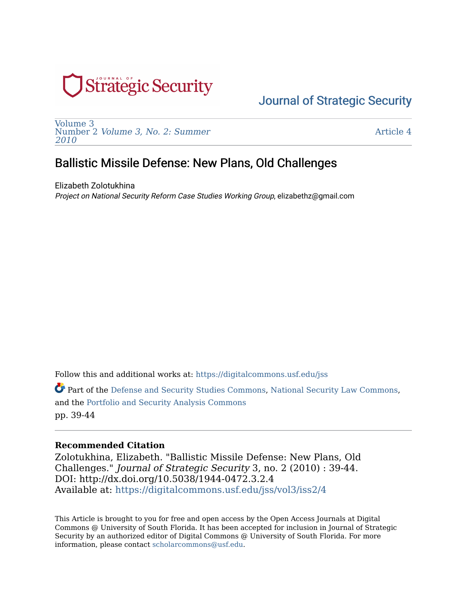

[Volume 3](https://digitalcommons.usf.edu/jss/vol3)  Number 2 [Volume 3, No. 2: Summer](https://digitalcommons.usf.edu/jss/vol3/iss2)  [2010](https://digitalcommons.usf.edu/jss/vol3/iss2) 

[Article 4](https://digitalcommons.usf.edu/jss/vol3/iss2/4) 

## Ballistic Missile Defense: New Plans, Old Challenges

Elizabeth Zolotukhina Project on National Security Reform Case Studies Working Group, elizabethz@gmail.com

Follow this and additional works at: [https://digitalcommons.usf.edu/jss](https://digitalcommons.usf.edu/jss?utm_source=digitalcommons.usf.edu%2Fjss%2Fvol3%2Fiss2%2F4&utm_medium=PDF&utm_campaign=PDFCoverPages)

Part of the [Defense and Security Studies Commons,](http://network.bepress.com/hgg/discipline/394?utm_source=digitalcommons.usf.edu%2Fjss%2Fvol3%2Fiss2%2F4&utm_medium=PDF&utm_campaign=PDFCoverPages) [National Security Law Commons,](http://network.bepress.com/hgg/discipline/1114?utm_source=digitalcommons.usf.edu%2Fjss%2Fvol3%2Fiss2%2F4&utm_medium=PDF&utm_campaign=PDFCoverPages) and the [Portfolio and Security Analysis Commons](http://network.bepress.com/hgg/discipline/640?utm_source=digitalcommons.usf.edu%2Fjss%2Fvol3%2Fiss2%2F4&utm_medium=PDF&utm_campaign=PDFCoverPages)  pp. 39-44

#### **Recommended Citation**

Zolotukhina, Elizabeth. "Ballistic Missile Defense: New Plans, Old Challenges." Journal of Strategic Security 3, no. 2 (2010) : 39-44. DOI: http://dx.doi.org/10.5038/1944-0472.3.2.4 Available at: [https://digitalcommons.usf.edu/jss/vol3/iss2/4](https://digitalcommons.usf.edu/jss/vol3/iss2/4?utm_source=digitalcommons.usf.edu%2Fjss%2Fvol3%2Fiss2%2F4&utm_medium=PDF&utm_campaign=PDFCoverPages)

This Article is brought to you for free and open access by the Open Access Journals at Digital Commons @ University of South Florida. It has been accepted for inclusion in Journal of Strategic Security by an authorized editor of Digital Commons @ University of South Florida. For more information, please contact [scholarcommons@usf.edu.](mailto:scholarcommons@usf.edu)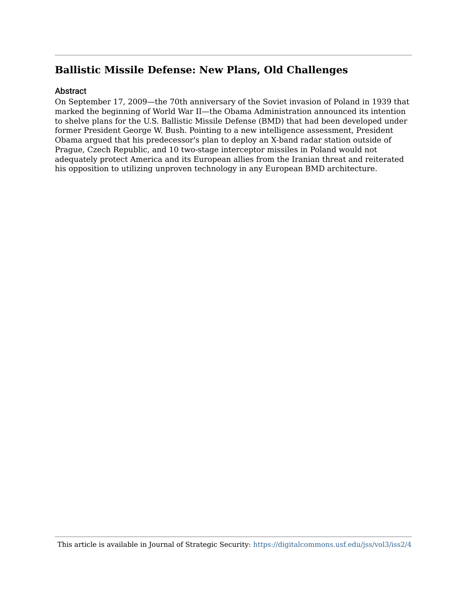#### **Abstract**

On September 17, 2009—the 70th anniversary of the Soviet invasion of Poland in 1939 that marked the beginning of World War II—the Obama Administration announced its intention to shelve plans for the U.S. Ballistic Missile Defense (BMD) that had been developed under former President George W. Bush. Pointing to a new intelligence assessment, President Obama argued that his predecessor's plan to deploy an X-band radar station outside of Prague, Czech Republic, and 10 two-stage interceptor missiles in Poland would not adequately protect America and its European allies from the Iranian threat and reiterated his opposition to utilizing unproven technology in any European BMD architecture.

This article is available in Journal of Strategic Security: <https://digitalcommons.usf.edu/jss/vol3/iss2/4>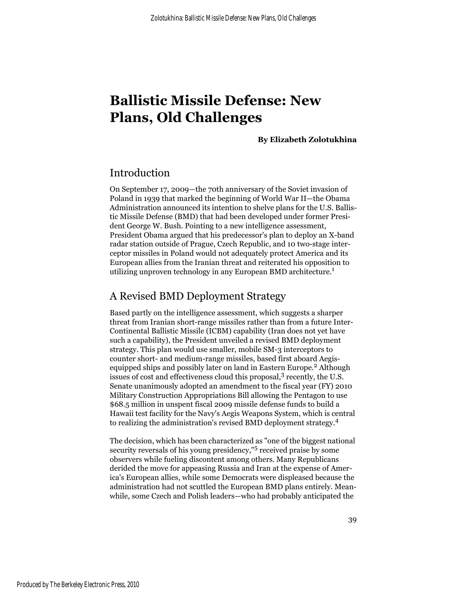**By Elizabeth Zolotukhina**

### Introduction

On September 17, 2009—the 70th anniversary of the Soviet invasion of Poland in 1939 that marked the beginning of World War II—the Obama Administration announced its intention to shelve plans for the U.S. Ballistic Missile Defense (BMD) that had been developed under former President George W. Bush. Pointing to a new intelligence assessment, President Obama argued that his predecessor's plan to deploy an X-band radar station outside of Prague, Czech Republic, and 10 two-stage interceptor missiles in Poland would not adequately protect America and its European allies from the Iranian threat and reiterated his opposition to utilizing unproven technology in any European BMD architecture.<sup>1</sup>

## A Revised BMD Deployment Strategy

Based partly on the intelligence assessment, which suggests a sharper threat from Iranian short-range missiles rather than from a future Inter-Continental Ballistic Missile (ICBM) capability (Iran does not yet have such a capability), the President unveiled a revised BMD deployment strategy. This plan would use smaller, mobile SM-3 interceptors to counter short- and medium-range missiles, based first aboard Aegisequipped ships and possibly later on land in Eastern Europe.<sup>2</sup> Although issues of cost and effectiveness cloud this proposal,<sup>3</sup> recently, the U.S. Senate unanimously adopted an amendment to the fiscal year (FY) 2010 Military Construction Appropriations Bill allowing the Pentagon to use \$68.5 million in unspent fiscal 2009 missile defense funds to build a Hawaii test facility for the Navy's Aegis Weapons System, which is central to realizing the administration's revised BMD deployment strategy.<sup>4</sup>

The decision, which has been characterized as "one of the biggest national security reversals of his young presidency,"5 received praise by some observers while fueling discontent among others. Many Republicans derided the move for appeasing Russia and Iran at the expense of America's European allies, while some Democrats were displeased because the administration had not scuttled the European BMD plans entirely. Meanwhile, some Czech and Polish leaders—who had probably anticipated the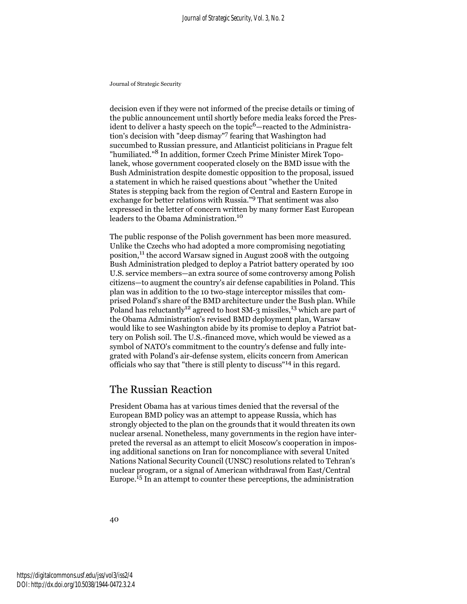decision even if they were not informed of the precise details or timing of the public announcement until shortly before media leaks forced the President to deliver a hasty speech on the topic<sup>6</sup>—reacted to the Administration's decision with "deep dismay"7 fearing that Washington had succumbed to Russian pressure, and Atlanticist politicians in Prague felt "humiliated."8 In addition, former Czech Prime Minister Mirek Topolanek, whose government cooperated closely on the BMD issue with the Bush Administration despite domestic opposition to the proposal, issued a statement in which he raised questions about "whether the United States is stepping back from the region of Central and Eastern Europe in exchange for better relations with Russia."9 That sentiment was also expressed in the letter of concern written by many former East European leaders to the Obama Administration.<sup>10</sup>

The public response of the Polish government has been more measured. Unlike the Czechs who had adopted a more compromising negotiating position,11 the accord Warsaw signed in August 2008 with the outgoing Bush Administration pledged to deploy a Patriot battery operated by 100 U.S. service members—an extra source of some controversy among Polish citizens—to augment the country's air defense capabilities in Poland. This plan was in addition to the 10 two-stage interceptor missiles that comprised Poland's share of the BMD architecture under the Bush plan. While Poland has reluctantly<sup>12</sup> agreed to host SM-3 missiles,<sup>13</sup> which are part of the Obama Administration's revised BMD deployment plan, Warsaw would like to see Washington abide by its promise to deploy a Patriot battery on Polish soil. The U.S.-financed move, which would be viewed as a symbol of NATO's commitment to the country's defense and fully integrated with Poland's air-defense system, elicits concern from American officials who say that "there is still plenty to discuss"14 in this regard.

### The Russian Reaction

President Obama has at various times denied that the reversal of the European BMD policy was an attempt to appease Russia, which has strongly objected to the plan on the grounds that it would threaten its own nuclear arsenal. Nonetheless, many governments in the region have interpreted the reversal as an attempt to elicit Moscow's cooperation in imposing additional sanctions on Iran for noncompliance with several United Nations National Security Council (UNSC) resolutions related to Tehran's nuclear program, or a signal of American withdrawal from East/Central Europe.15 In an attempt to counter these perceptions, the administration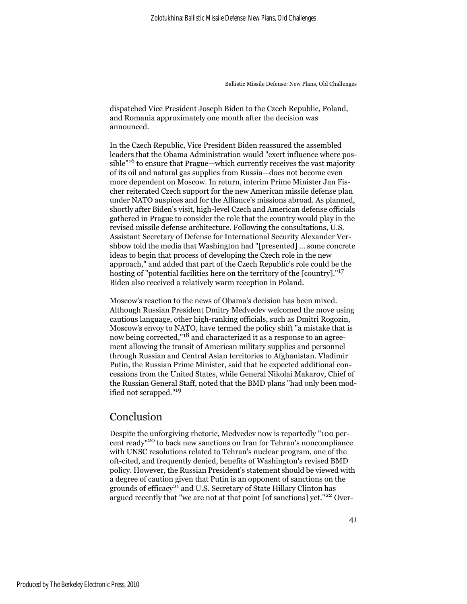dispatched Vice President Joseph Biden to the Czech Republic, Poland, and Romania approximately one month after the decision was announced.

In the Czech Republic, Vice President Biden reassured the assembled leaders that the Obama Administration would "exert influence where possible"16 to ensure that Prague—which currently receives the vast majority of its oil and natural gas supplies from Russia—does not become even more dependent on Moscow. In return, interim Prime Minister Jan Fischer reiterated Czech support for the new American missile defense plan under NATO auspices and for the Alliance's missions abroad. As planned, shortly after Biden's visit, high-level Czech and American defense officials gathered in Prague to consider the role that the country would play in the revised missile defense architecture. Following the consultations, U.S. Assistant Secretary of Defense for International Security Alexander Vershbow told the media that Washington had "[presented] ... some concrete ideas to begin that process of developing the Czech role in the new approach," and added that part of the Czech Republic's role could be the hosting of "potential facilities here on the territory of the [country]."<sup>17</sup> Biden also received a relatively warm reception in Poland.

Moscow's reaction to the news of Obama's decision has been mixed. Although Russian President Dmitry Medvedev welcomed the move using cautious language, other high-ranking officials, such as Dmitri Rogozin, Moscow's envoy to NATO, have termed the policy shift "a mistake that is now being corrected,"18 and characterized it as a response to an agreement allowing the transit of American military supplies and personnel through Russian and Central Asian territories to Afghanistan. Vladimir Putin, the Russian Prime Minister, said that he expected additional concessions from the United States, while General Nikolai Makarov, Chief of the Russian General Staff, noted that the BMD plans "had only been modified not scrapped."19

#### Conclusion

Despite the unforgiving rhetoric, Medvedev now is reportedly "100 percent ready"20 to back new sanctions on Iran for Tehran's noncompliance with UNSC resolutions related to Tehran's nuclear program, one of the oft-cited, and frequently denied, benefits of Washington's revised BMD policy. However, the Russian President's statement should be viewed with a degree of caution given that Putin is an opponent of sanctions on the grounds of efficacy<sup>21</sup> and U.S. Secretary of State Hillary Clinton has argued recently that "we are not at that point [of sanctions] yet."<sup>22</sup> Over-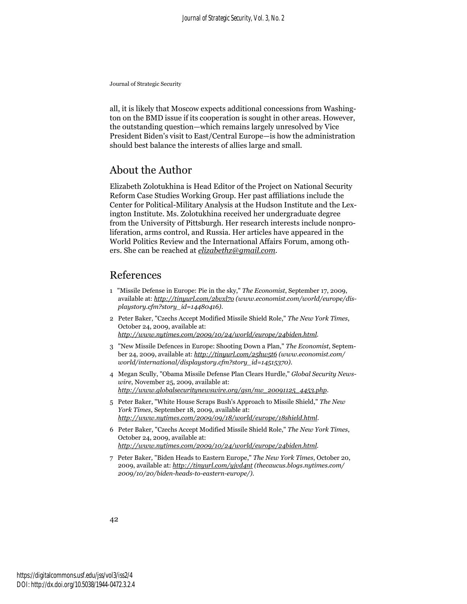all, it is likely that Moscow expects additional concessions from Washington on the BMD issue if its cooperation is sought in other areas. However, the outstanding question—which remains largely unresolved by Vice President Biden's visit to East/Central Europe—is how the administration should best balance the interests of allies large and small.

#### About the Author

Elizabeth Zolotukhina is Head Editor of the Project on National Security Reform Case Studies Working Group. Her past affiliations include the Center for Political-Military Analysis at the Hudson Institute and the Lexington Institute. Ms. Zolotukhina received her undergraduate degree from the University of Pittsburgh. Her research interests include nonproliferation, arms control, and Russia. Her articles have appeared in the World Politics Review and the International Affairs Forum, among others. She can be reached at *elizabethz@gmail.com*.

#### References

- 1 "Missile Defense in Europe: Pie in the sky," *The Economist*, September 17, 2009, available at: *http://tinyurl.com/2bvxl7o (www.economist.com/world/europe/displaystory.cfm?story\_id=14480416)*.
- 2 Peter Baker, "Czechs Accept Modified Missile Shield Role," *The New York Times*, October 24, 2009, available at: *http://www.nytimes.com/2009/10/24/world/europe/24biden.html*.
- 3 "New Missile Defences in Europe: Shooting Down a Plan," *The Economist*, September 24, 2009, available at: *http://tinyurl.com/25hw5t6 (www.economist.com/ world/international/displaystory.cfm?story\_id=14515370)*.
- 4 Megan Scully, "Obama Missile Defense Plan Clears Hurdle," *Global Security Newswire*, November 25, 2009, available at: *http://www.globalsecuritynewswire.org/gsn/nw\_20091125\_4453.php*.
- 5 Peter Baker, "White House Scraps Bush's Approach to Missile Shield," *The New York Times*, September 18, 2009, available at: *http://www.nytimes.com/2009/09/18/world/europe/18shield.html*.
- 6 Peter Baker, "Czechs Accept Modified Missile Shield Role," *The New York Times*, October 24, 2009, available at: *http://www.nytimes.com/2009/10/24/world/europe/24biden.html*.
- 7 Peter Baker, "Biden Heads to Eastern Europe," *The New York Times*, October 20, 2009, available at: *http://tinyurl.com/yjvd4nt (thecaucus.blogs.nytimes.com/ 2009/10/20/biden-heads-to-eastern-europe/)*.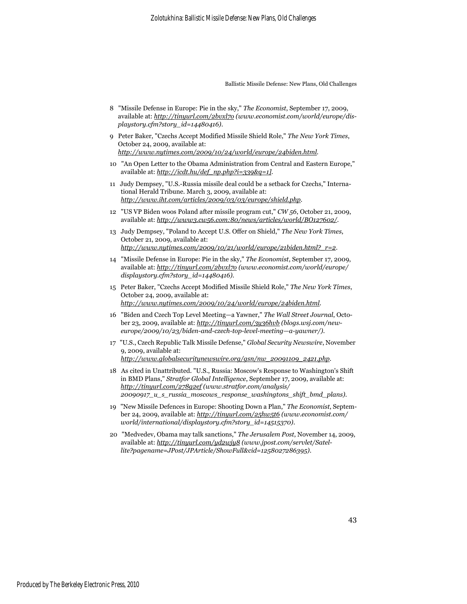- 8 "Missile Defense in Europe: Pie in the sky," *The Economist*, September 17, 2009, available at: *http://tinyurl.com/2bvxl7o (www.economist.com/world/europe/displaystory.cfm?story\_id=14480416)*.
- 9 Peter Baker, "Czechs Accept Modified Missile Shield Role," *The New York Times*, October 24, 2009, available at: *http://www.nytimes.com/2009/10/24/world/europe/24biden.html*.
- 10 "An Open Letter to the Obama Administration from Central and Eastern Europe," available at: *http://icdt.hu/def\_np.php?i=339&q=1]*.
- 11 Judy Dempsey, "U.S.-Russia missile deal could be a setback for Czechs," International Herald Tribune. March 3, 2009, available at: *http://www.iht.com/articles/2009/03/03/europe/shield.php*.
- 12 "US VP Biden woos Poland after missile program cut," *CW 56*, October 21, 2009, available at: *http://www3.cw56.com:80/news/articles/world/BO127602/*.
- 13 Judy Dempsey, "Poland to Accept U.S. Offer on Shield," *The New York Times*, October 21, 2009, available at: *http://www.nytimes.com/2009/10/21/world/europe/21biden.html?\_r=2*.
- 14 "Missile Defense in Europe: Pie in the sky," *The Economist*, September 17, 2009, available at: *http://tinyurl.com/2bvxl7o (www.economist.com/world/europe/ displaystory.cfm?story\_id=14480416)*.
- 15 Peter Baker, "Czechs Accept Modified Missile Shield Role," *The New York Times*, October 24, 2009, available at: *http://www.nytimes.com/2009/10/24/world/europe/24biden.html*.
- 16 "Biden and Czech Top Level Meeting—a Yawner," *The Wall Street Journal*, October 23, 2009, available at: *http://tinyurl.com/3y36hvb (blogs.wsj.com/neweurope/2009/10/23/biden-and-czech-top-level-meeting—a-yawner/)*.
- 17 "U.S., Czech Republic Talk Missile Defense," *Global Security Newswire*, November 9, 2009, available at: *http://www.globalsecuritynewswire.org/gsn/nw\_20091109\_2421.php*.
- 18 As cited in Unattributed. "U.S., Russia: Moscow's Response to Washington's Shift in BMD Plans," *Stratfor Global Intelligence*, September 17, 2009, available at: *http://tinyurl.com/278g2ef (www.stratfor.com/analysis/ 20090917\_u\_s\_russia\_moscows\_response\_washingtons\_shift\_bmd\_plans)*.
- 19 "New Missile Defences in Europe: Shooting Down a Plan," *The Economist*, September 24, 2009, available at: *http://tinyurl.com/25hw5t6 (www.economist.com/ world/international/displaystory.cfm?story\_id=14515370)*.
- 20 "Medvedev, Obama may talk sanctions," *The Jerusalem Post*, November 14, 2009, available at: *http://tinyurl.com/yd2wjy8 (www.jpost.com/servlet/Satellite?pagename=JPost/JPArticle/ShowFull&cid=1258027286395)*.